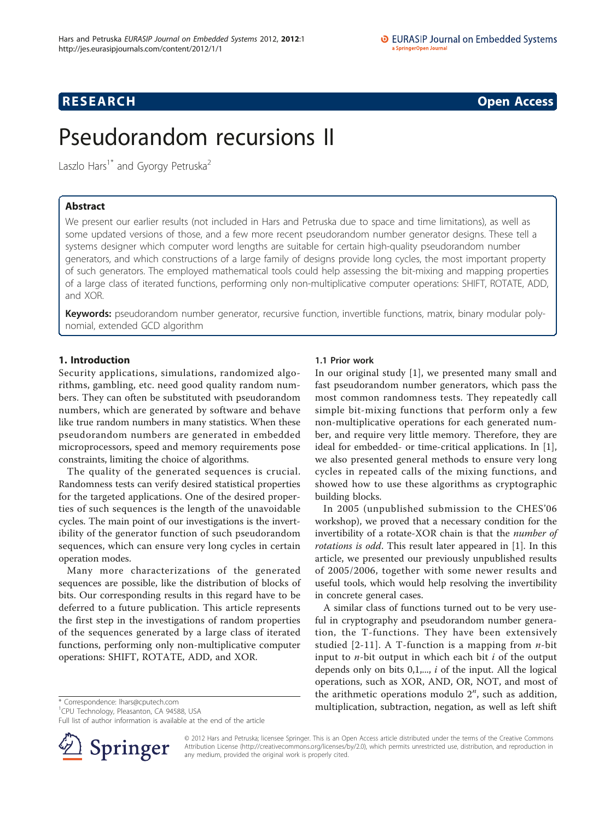**RESEARCH CONSTRUCTION CONSTRUCTS** 

# Pseudorandom recursions II

Laszlo Hars<sup>1\*</sup> and Gyorgy Petruska<sup>2</sup>

## Abstract

We present our earlier results (not included in Hars and Petruska due to space and time limitations), as well as some updated versions of those, and a few more recent pseudorandom number generator designs. These tell a systems designer which computer word lengths are suitable for certain high-quality pseudorandom number generators, and which constructions of a large family of designs provide long cycles, the most important property of such generators. The employed mathematical tools could help assessing the bit-mixing and mapping properties of a large class of iterated functions, performing only non-multiplicative computer operations: SHIFT, ROTATE, ADD, and XOR.

Keywords: pseudorandom number generator, recursive function, invertible functions, matrix, binary modular polynomial, extended GCD algorithm

### 1. Introduction

Security applications, simulations, randomized algorithms, gambling, etc. need good quality random numbers. They can often be substituted with pseudorandom numbers, which are generated by software and behave like true random numbers in many statistics. When these pseudorandom numbers are generated in embedded microprocessors, speed and memory requirements pose constraints, limiting the choice of algorithms.

The quality of the generated sequences is crucial. Randomness tests can verify desired statistical properties for the targeted applications. One of the desired properties of such sequences is the length of the unavoidable cycles. The main point of our investigations is the invertibility of the generator function of such pseudorandom sequences, which can ensure very long cycles in certain operation modes.

Many more characterizations of the generated sequences are possible, like the distribution of blocks of bits. Our corresponding results in this regard have to be deferred to a future publication. This article represents the first step in the investigations of random properties of the sequences generated by a large class of iterated functions, performing only non-multiplicative computer operations: SHIFT, ROTATE, ADD, and XOR.

<sup>1</sup>CPU Technology, Pleasanton, CA 94588, USA

Full list of author information is available at the end of the article



#### 1.1 Prior work

In our original study [[1](#page-10-0)], we presented many small and fast pseudorandom number generators, which pass the most common randomness tests. They repeatedly call simple bit-mixing functions that perform only a few non-multiplicative operations for each generated number, and require very little memory. Therefore, they are ideal for embedded- or time-critical applications. In [\[1](#page-10-0)], we also presented general methods to ensure very long cycles in repeated calls of the mixing functions, and showed how to use these algorithms as cryptographic building blocks.

In 2005 (unpublished submission to the CHES'06 workshop), we proved that a necessary condition for the invertibility of a rotate-XOR chain is that the number of rotations is odd. This result later appeared in [\[1](#page-10-0)]. In this article, we presented our previously unpublished results of 2005/2006, together with some newer results and useful tools, which would help resolving the invertibility in concrete general cases.

A similar class of functions turned out to be very useful in cryptography and pseudorandom number generation, the T-functions. They have been extensively studied  $[2-11]$  $[2-11]$  $[2-11]$  $[2-11]$ . A T-function is a mapping from *n*-bit input to  $n$ -bit output in which each bit  $i$  of the output depends only on bits  $0,1,..., i$  of the input. All the logical operations, such as XOR, AND, OR, NOT, and most of the arithmetic operations modulo  $2^n$ , such as addition, \* Correspondence: [lhars@cputech.com](mailto:lhars@cputech.com)<br><sup>1</sup>CPU Technology Plassanton CA 94588 USA

> © 2012 Hars and Petruska; licensee Springer. This is an Open Access article distributed under the terms of the Creative Commons Attribution License [\(http://creativecommons.org/licenses/by/2.0](http://creativecommons.org/licenses/by/2.0)), which permits unrestricted use, distribution, and reproduction in any medium, provided the original work is properly cited.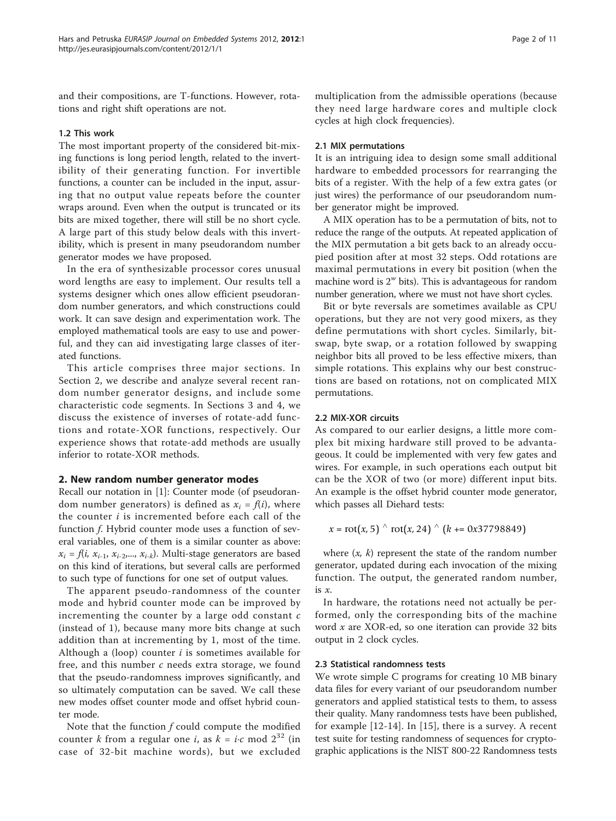and their compositions, are T-functions. However, rotations and right shift operations are not.

#### 1.2 This work

The most important property of the considered bit-mixing functions is long period length, related to the invertibility of their generating function. For invertible functions, a counter can be included in the input, assuring that no output value repeats before the counter wraps around. Even when the output is truncated or its bits are mixed together, there will still be no short cycle. A large part of this study below deals with this invertibility, which is present in many pseudorandom number generator modes we have proposed.

In the era of synthesizable processor cores unusual word lengths are easy to implement. Our results tell a systems designer which ones allow efficient pseudorandom number generators, and which constructions could work. It can save design and experimentation work. The employed mathematical tools are easy to use and powerful, and they can aid investigating large classes of iterated functions.

This article comprises three major sections. In Section 2, we describe and analyze several recent random number generator designs, and include some characteristic code segments. In Sections 3 and 4, we discuss the existence of inverses of rotate-add functions and rotate-XOR functions, respectively. Our experience shows that rotate-add methods are usually inferior to rotate-XOR methods.

#### 2. New random number generator modes

Recall our notation in [[1\]](#page-10-0): Counter mode (of pseudorandom number generators) is defined as  $x_i = f(i)$ , where the counter  $i$  is incremented before each call of the function f. Hybrid counter mode uses a function of several variables, one of them is a similar counter as above:  $x_i = f(i, x_{i-1}, x_{i-2},..., x_{i-k})$ . Multi-stage generators are based on this kind of iterations, but several calls are performed to such type of functions for one set of output values.

The apparent pseudo-randomness of the counter mode and hybrid counter mode can be improved by incrementing the counter by a large odd constant  $c$ (instead of 1), because many more bits change at such addition than at incrementing by 1, most of the time. Although a (loop) counter  $i$  is sometimes available for free, and this number  $c$  needs extra storage, we found that the pseudo-randomness improves significantly, and so ultimately computation can be saved. We call these new modes offset counter mode and offset hybrid counter mode.

Note that the function  $f$  could compute the modified counter k from a regular one i, as  $k = i \cdot c \mod 2^{32}$  (in case of 32-bit machine words), but we excluded

multiplication from the admissible operations (because they need large hardware cores and multiple clock cycles at high clock frequencies).

#### 2.1 MIX permutations

It is an intriguing idea to design some small additional hardware to embedded processors for rearranging the bits of a register. With the help of a few extra gates (or just wires) the performance of our pseudorandom number generator might be improved.

A MIX operation has to be a permutation of bits, not to reduce the range of the outputs. At repeated application of the MIX permutation a bit gets back to an already occupied position after at most 32 steps. Odd rotations are maximal permutations in every bit position (when the machine word is  $2^w$  bits). This is advantageous for random number generation, where we must not have short cycles.

Bit or byte reversals are sometimes available as CPU operations, but they are not very good mixers, as they define permutations with short cycles. Similarly, bitswap, byte swap, or a rotation followed by swapping neighbor bits all proved to be less effective mixers, than simple rotations. This explains why our best constructions are based on rotations, not on complicated MIX permutations.

#### 2.2 MIX-XOR circuits

As compared to our earlier designs, a little more complex bit mixing hardware still proved to be advantageous. It could be implemented with very few gates and wires. For example, in such operations each output bit can be the XOR of two (or more) different input bits. An example is the offset hybrid counter mode generator, which passes all Diehard tests:

 $x = \text{rot}(x, 5)$  ^  $\text{rot}(x, 24)$  ^  $(k = 0x37798849)$ 

where  $(x, k)$  represent the state of the random number generator, updated during each invocation of the mixing function. The output, the generated random number, is  $x$ .

In hardware, the rotations need not actually be performed, only the corresponding bits of the machine word  $x$  are XOR-ed, so one iteration can provide 32 bits output in 2 clock cycles.

#### 2.3 Statistical randomness tests

We wrote simple C programs for creating 10 MB binary data files for every variant of our pseudorandom number generators and applied statistical tests to them, to assess their quality. Many randomness tests have been published, for example [[12](#page-10-0)-[14](#page-10-0)]. In [[15](#page-10-0)], there is a survey. A recent test suite for testing randomness of sequences for cryptographic applications is the NIST 800-22 Randomness tests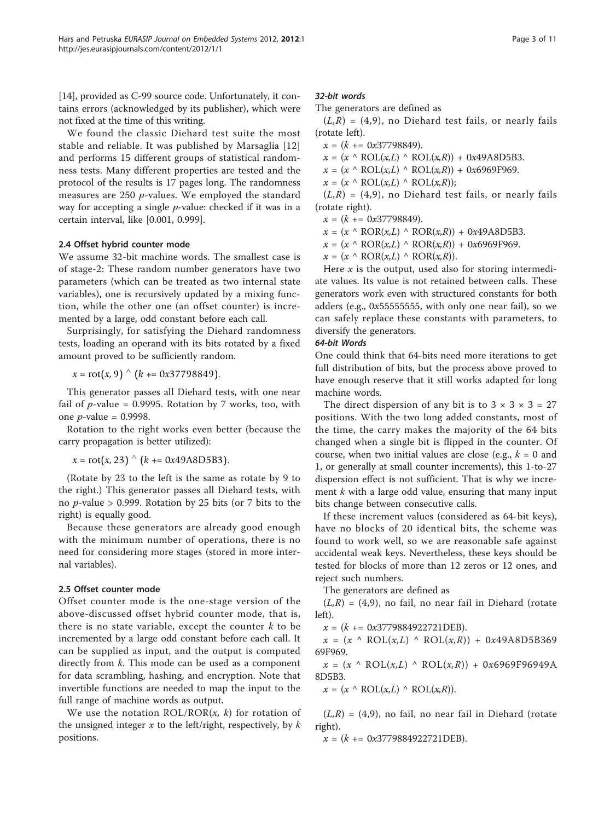[[14\]](#page-10-0), provided as C-99 source code. Unfortunately, it contains errors (acknowledged by its publisher), which were not fixed at the time of this writing.

We found the classic Diehard test suite the most stable and reliable. It was published by Marsaglia [[12](#page-10-0)] and performs 15 different groups of statistical randomness tests. Many different properties are tested and the protocol of the results is 17 pages long. The randomness measures are 250 p-values. We employed the standard way for accepting a single p-value: checked if it was in a certain interval, like [0.001, 0.999].

#### 2.4 Offset hybrid counter mode

We assume 32-bit machine words. The smallest case is of stage-2: These random number generators have two parameters (which can be treated as two internal state variables), one is recursively updated by a mixing function, while the other one (an offset counter) is incremented by a large, odd constant before each call.

Surprisingly, for satisfying the Diehard randomness tests, loading an operand with its bits rotated by a fixed amount proved to be sufficiently random.

 $x = \text{rot}(x, 9)$  ^ ( $k \neq 0x37798849$ ).

This generator passes all Diehard tests, with one near fail of  $p$ -value = 0.9995. Rotation by 7 works, too, with one  $p$ -value = 0.9998.

Rotation to the right works even better (because the carry propagation is better utilized):

 $x = \text{rot}(x, 23)$  ^ ( $k == 0x49A8D5B3$ ).

(Rotate by 23 to the left is the same as rotate by 9 to the right.) This generator passes all Diehard tests, with no p-value > 0.999. Rotation by 25 bits (or 7 bits to the right) is equally good.

Because these generators are already good enough with the minimum number of operations, there is no need for considering more stages (stored in more internal variables).

#### 2.5 Offset counter mode

Offset counter mode is the one-stage version of the above-discussed offset hybrid counter mode, that is, there is no state variable, except the counter  $k$  to be incremented by a large odd constant before each call. It can be supplied as input, and the output is computed directly from k. This mode can be used as a component for data scrambling, hashing, and encryption. Note that invertible functions are needed to map the input to the full range of machine words as output.

We use the notation  $\text{ROL}/\text{ROR}(x, k)$  for rotation of the unsigned integer  $x$  to the left/right, respectively, by  $k$ positions.

#### 32-bit words

The generators are defined as

 $(L,R) = (4,9)$ , no Diehard test fails, or nearly fails (rotate left).

 $x = (k - 0x37798849).$ 

 $x = (x \land \text{ROL}(x, L) \land \text{ROL}(x, R)) + 0x49A8D5B3.$ 

 $x = (x \land \text{ROL}(x, L) \land \text{ROL}(x, R)) + 0x6969F969.$ 

 $x = (x \land \text{ROL}(x, L) \land \text{ROL}(x, R));$ 

 $(L,R) = (4,9)$ , no Diehard test fails, or nearly fails (rotate right).

 $x = (k - 0x37798849).$ 

 $x = (x \land ROR(x,L) \land ROR(x,R)) + 0x49A8D5B3.$ 

 $x = (x \land ROR(x,L) \land ROR(x,R)) + 0x6969F969.$ 

 $x = (x \land ROR(x,L) \land ROR(x,R)).$ 

Here  $x$  is the output, used also for storing intermediate values. Its value is not retained between calls. These generators work even with structured constants for both adders (e.g., 0x55555555, with only one near fail), so we can safely replace these constants with parameters, to diversify the generators.

#### 64-bit Words

One could think that 64-bits need more iterations to get full distribution of bits, but the process above proved to have enough reserve that it still works adapted for long machine words.

The direct dispersion of any bit is to  $3 \times 3 \times 3 = 27$ positions. With the two long added constants, most of the time, the carry makes the majority of the 64 bits changed when a single bit is flipped in the counter. Of course, when two initial values are close (e.g.,  $k = 0$  and 1, or generally at small counter increments), this 1-to-27 dispersion effect is not sufficient. That is why we increment  $k$  with a large odd value, ensuring that many input bits change between consecutive calls.

If these increment values (considered as 64-bit keys), have no blocks of 20 identical bits, the scheme was found to work well, so we are reasonable safe against accidental weak keys. Nevertheless, these keys should be tested for blocks of more than 12 zeros or 12 ones, and reject such numbers.

The generators are defined as

 $(L,R) = (4,9)$ , no fail, no near fail in Diehard (rotate left).

 $x = (k \leftarrow 0x3779884922721DEB).$ 

 $x = (x \land \text{ROL}(x, L) \land \text{ROL}(x, R)) + 0x49A8D5B369$ 69F969.

 $x = (x \land \text{ROL}(x,L) \land \text{ROL}(x,R)) + 0x6969F96949A$ 8D5B3.

 $x = (x \land \text{ROL}(x,L) \land \text{ROL}(x,R)).$ 

 $(L,R) = (4,9)$ , no fail, no near fail in Diehard (rotate right).

 $x = (k \leftarrow 0x3779884922721DEB).$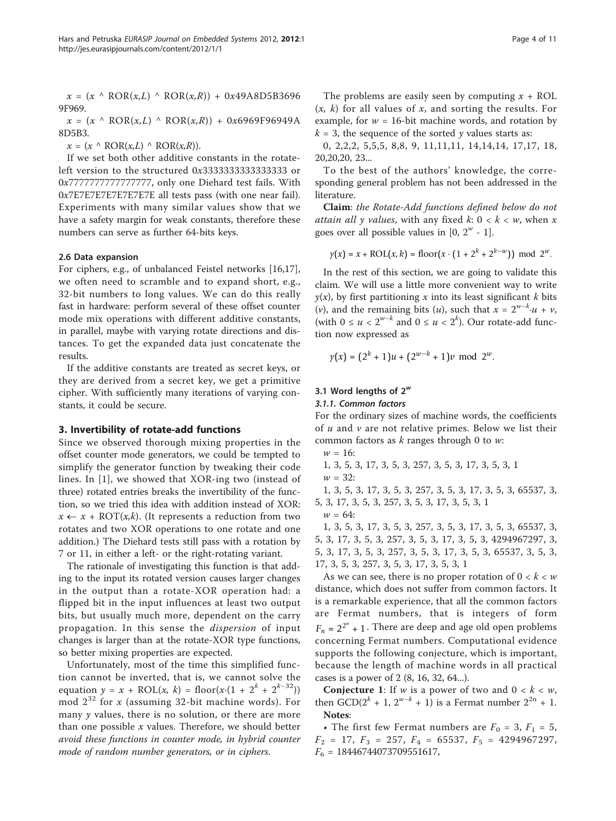$x = (x \land ROR(x,L) \land ROR(x,R)) + 0x49A8D5B3696$ 9F969.

 $x = (x \land ROR(x,L) \land ROR(x,R)) + 0x6969F96949A$ 8D5B3.

 $x = (x \land ROR(x,L) \land ROR(x,R)).$ 

If we set both other additive constants in the rotateleft version to the structured 0x3333333333333333 or 0x7777777777777777, only one Diehard test fails. With 0x7E7E7E7E7E7E7E7E all tests pass (with one near fail). Experiments with many similar values show that we have a safety margin for weak constants, therefore these numbers can serve as further 64-bits keys.

#### 2.6 Data expansion

For ciphers, e.g., of unbalanced Feistel networks [\[16,17](#page-10-0)], we often need to scramble and to expand short, e.g., 32-bit numbers to long values. We can do this really fast in hardware: perform several of these offset counter mode mix operations with different additive constants, in parallel, maybe with varying rotate directions and distances. To get the expanded data just concatenate the results.

If the additive constants are treated as secret keys, or they are derived from a secret key, we get a primitive cipher. With sufficiently many iterations of varying constants, it could be secure.

#### 3. Invertibility of rotate-add functions

Since we observed thorough mixing properties in the offset counter mode generators, we could be tempted to simplify the generator function by tweaking their code lines. In [\[1\]](#page-10-0), we showed that XOR-ing two (instead of three) rotated entries breaks the invertibility of the function, so we tried this idea with addition instead of XOR:  $x \leftarrow x + \text{ROT}(x, k)$ . (It represents a reduction from two rotates and two XOR operations to one rotate and one addition.) The Diehard tests still pass with a rotation by 7 or 11, in either a left- or the right-rotating variant.

The rationale of investigating this function is that adding to the input its rotated version causes larger changes in the output than a rotate-XOR operation had: a flipped bit in the input influences at least two output bits, but usually much more, dependent on the carry propagation. In this sense the dispersion of input changes is larger than at the rotate-XOR type functions, so better mixing properties are expected.

Unfortunately, most of the time this simplified function cannot be inverted, that is, we cannot solve the equation  $y = x + \text{ROL}(x, k) = \text{floor}(x \cdot (1 + 2^k + 2^{k-32}))$ mod  $2^{32}$  for x (assuming 32-bit machine words). For many y values, there is no solution, or there are more than one possible  $x$  values. Therefore, we should better avoid these functions in counter mode, in hybrid counter mode of random number generators, or in ciphers.

The problems are easily seen by computing  $x + \text{ROL}$  $(x, k)$  for all values of x, and sorting the results. For example, for  $w = 16$ -bit machine words, and rotation by  $k = 3$ , the sequence of the sorted y values starts as:

0, 2,2,2, 5,5,5, 8,8, 9, 11,11,11, 14,14,14, 17,17, 18, 20,20,20, 23...

To the best of the authors' knowledge, the corresponding general problem has not been addressed in the literature.

Claim: the Rotate-Add functions defined below do not *attain all y values*, with any fixed  $k: 0 < k < w$ , when x goes over all possible values in  $[0, 2<sup>w</sup> - 1]$ .

$$
\gamma(x) = x + \text{ROL}(x, k) = \text{floor}(x \cdot (1 + 2^k + 2^{k-w})) \text{ mod } 2^w.
$$

In the rest of this section, we are going to validate this claim. We will use a little more convenient way to write  $y(x)$ , by first partitioning x into its least significant k bits (v), and the remaining bits (u), such that  $x = 2^{w-k} \cdot u + v$ , (with 0 ≤  $u < 2^{w-k}$  and 0 ≤  $u < 2^k$ ). Our rotate-add function now expressed as

$$
y(x) = (2^k + 1)u + (2^{w-k} + 1)v \mod 2^w
$$
.

#### 3.1 Word lengths of  $2^w$ 3.1.1. Common factors

For the ordinary sizes of machine words, the coefficients of  $u$  and  $v$  are not relative primes. Below we list their common factors as  $k$  ranges through 0 to  $w$ :

$$
w=16:
$$

1, 3, 5, 3, 17, 3, 5, 3, 257, 3, 5, 3, 17, 3, 5, 3, 1  $w = 32$ :

1, 3, 5, 3, 17, 3, 5, 3, 257, 3, 5, 3, 17, 3, 5, 3, 65537, 3, 5, 3, 17, 3, 5, 3, 257, 3, 5, 3, 17, 3, 5, 3, 1

 $w = 64$ :

1, 3, 5, 3, 17, 3, 5, 3, 257, 3, 5, 3, 17, 3, 5, 3, 65537, 3, 5, 3, 17, 3, 5, 3, 257, 3, 5, 3, 17, 3, 5, 3, 4294967297, 3, 5, 3, 17, 3, 5, 3, 257, 3, 5, 3, 17, 3, 5, 3, 65537, 3, 5, 3, 17, 3, 5, 3, 257, 3, 5, 3, 17, 3, 5, 3, 1

As we can see, there is no proper rotation of  $0 < k < w$ distance, which does not suffer from common factors. It is a remarkable experience, that all the common factors are Fermat numbers, that is integers of form  $F_n = 2^{2^n} + 1$ . There are deep and age old open problems concerning Fermat numbers. Computational evidence supports the following conjecture, which is important, because the length of machine words in all practical cases is a power of 2 (8, 16, 32, 64...).

**Conjecture 1:** If w is a power of two and  $0 < k < w$ , then  $GCD(2^{k} + 1, 2^{w-k} + 1)$  is a Fermat number  $2^{2n} + 1$ . Notes:

• The first few Fermat numbers are  $F_0 = 3$ ,  $F_1 = 5$ ,  $F_2 = 17$ ,  $F_3 = 257$ ,  $F_4 = 65537$ ,  $F_5 = 4294967297$ ,  $F_6 = 18446744073709551617$ ,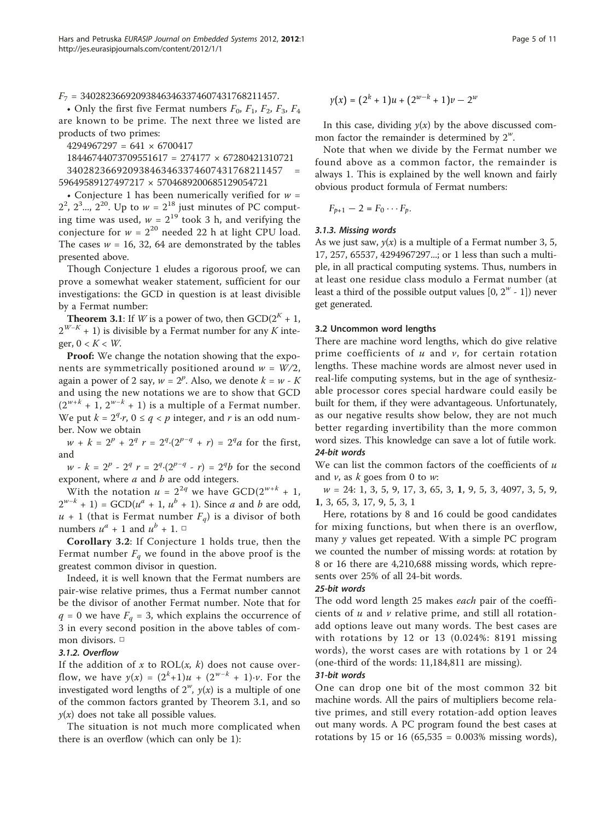#### $F_7 = 340282366920938463463374607431768211457.$

• Only the first five Fermat numbers  $F_0$ ,  $F_1$ ,  $F_2$ ,  $F_3$ ,  $F_4$ are known to be prime. The next three we listed are products of two primes:

 $4294967297 = 641 \times 6700417$ 

18446744073709551617 = 274177 × 67280421310721

340282366920938463463374607431768211457 = 59649589127497217 × 5704689200685129054721

• Conjecture 1 has been numerically verified for  $w =$  $2^2$ ,  $2^3$ ...,  $2^{20}$ . Up to  $w = 2^{18}$  just minutes of PC computing time was used,  $w = 2^{19}$  took 3 h, and verifying the conjecture for  $w = 2^{20}$  needed 22 h at light CPU load. The cases  $w = 16$ , 32, 64 are demonstrated by the tables presented above.

Though Conjecture 1 eludes a rigorous proof, we can prove a somewhat weaker statement, sufficient for our investigations: the GCD in question is at least divisible by a Fermat number:

**Theorem 3.1:** If *W* is a power of two, then  $GCD(2^K + 1)$ ,  $2^{W-K}$  + 1) is divisible by a Fermat number for any K integer,  $0 < K < W$ .

Proof: We change the notation showing that the exponents are symmetrically positioned around  $w = W/2$ , again a power of 2 say,  $w = 2^p$ . Also, we denote  $k = w - K$ and using the new notations we are to show that GCD  $(2^{w+k} + 1, 2^{w-k} + 1)$  is a multiple of a Fermat number. We put  $k = 2^q \cdot r$ ,  $0 \le q < p$  integer, and r is an odd number. Now we obtain

 $w + k = 2^p + 2^q r = 2^q \cdot (2^{p-q} + r) = 2^q a$  for the first, and

 $w - k = 2^p - 2^q r = 2^q (2^{p-q} - r) = 2^q b$  for the second exponent, where  $a$  and  $b$  are odd integers.

With the notation  $u = 2^{2q}$  we have  $GCD(2^{w+k} + 1,$  $2^{w-k} + 1$ ) = GCD( $u^a + 1$ ,  $u^b + 1$ ). Since *a* and *b* are odd,  $u + 1$  (that is Fermat number  $F_a$ ) is a divisor of both numbers  $u^a + 1$  and  $u^b + 1$ .  $\Box$ 

Corollary 3.2: If Conjecture 1 holds true, then the Fermat number  $F_q$  we found in the above proof is the greatest common divisor in question.

Indeed, it is well known that the Fermat numbers are pair-wise relative primes, thus a Fermat number cannot be the divisor of another Fermat number. Note that for  $q = 0$  we have  $F_q = 3$ , which explains the occurrence of 3 in every second position in the above tables of common divisors. □

#### 3.1.2. Overflow

If the addition of x to  $ROL(x, k)$  does not cause overflow, we have  $y(x) = (2^k + 1)u + (2^{w-k} + 1)v$ . For the investigated word lengths of  $2^w$ ,  $y(x)$  is a multiple of one of the common factors granted by Theorem 3.1, and so  $y(x)$  does not take all possible values.

The situation is not much more complicated when there is an overflow (which can only be 1):

$$
y(x) = (2^k + 1)u + (2^{w-k} + 1)v - 2^w
$$

In this case, dividing  $y(x)$  by the above discussed common factor the remainder is determined by  $2^w$ .

Note that when we divide by the Fermat number we found above as a common factor, the remainder is always 1. This is explained by the well known and fairly obvious product formula of Fermat numbers:

 $F_{p+1} - 2 = F_0 \cdots F_p.$ 

#### 3.1.3. Missing words

As we just saw,  $y(x)$  is a multiple of a Fermat number 3, 5, 17, 257, 65537, 4294967297...; or 1 less than such a multiple, in all practical computing systems. Thus, numbers in at least one residue class modulo a Fermat number (at least a third of the possible output values  $[0, 2<sup>w</sup> - 1]$  never get generated.

#### 3.2 Uncommon word lengths

There are machine word lengths, which do give relative prime coefficients of  $u$  and  $v$ , for certain rotation lengths. These machine words are almost never used in real-life computing systems, but in the age of synthesizable processor cores special hardware could easily be built for them, if they were advantageous. Unfortunately, as our negative results show below, they are not much better regarding invertibility than the more common word sizes. This knowledge can save a lot of futile work. 24-bit words

We can list the common factors of the coefficients of  $u$ and  $\nu$ , as  $k$  goes from 0 to  $w$ :

w = 24: 1, 3, 5, 9, 17, 3, 65, 3, 1, 9, 5, 3, 4097, 3, 5, 9, 1, 3, 65, 3, 17, 9, 5, 3, 1

Here, rotations by 8 and 16 could be good candidates for mixing functions, but when there is an overflow, many y values get repeated. With a simple PC program we counted the number of missing words: at rotation by 8 or 16 there are 4,210,688 missing words, which represents over 25% of all 24-bit words.

#### 25-bit words

The odd word length 25 makes each pair of the coefficients of  $u$  and  $v$  relative prime, and still all rotationadd options leave out many words. The best cases are with rotations by 12 or 13 (0.024%: 8191 missing words), the worst cases are with rotations by 1 or 24 (one-third of the words: 11,184,811 are missing).

#### 31-bit words

One can drop one bit of the most common 32 bit machine words. All the pairs of multipliers become relative primes, and still every rotation-add option leaves out many words. A PC program found the best cases at rotations by 15 or 16  $(65,535 = 0.003\%$  missing words),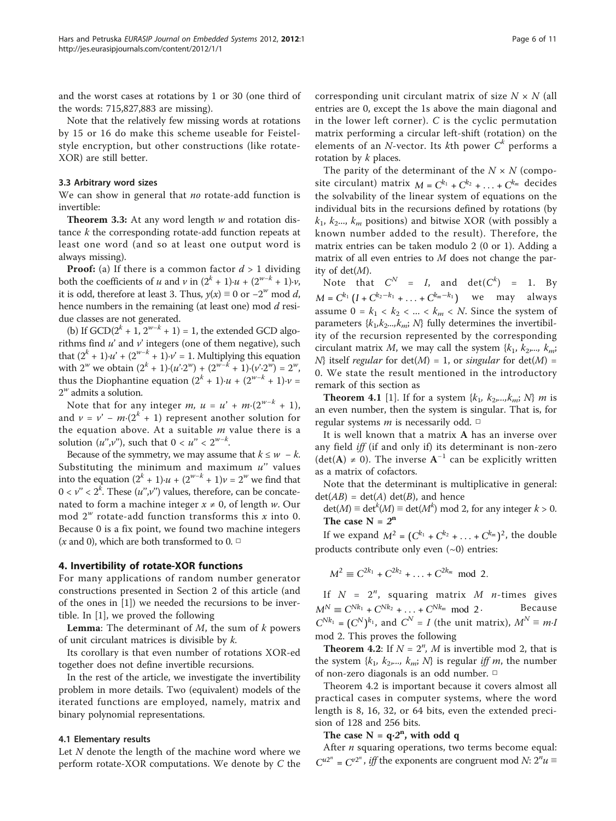and the worst cases at rotations by 1 or 30 (one third of the words: 715,827,883 are missing).

Note that the relatively few missing words at rotations by 15 or 16 do make this scheme useable for Feistelstyle encryption, but other constructions (like rotate-XOR) are still better.

#### 3.3 Arbitrary word sizes

We can show in general that no rotate-add function is invertible:

**Theorem 3.3:** At any word length  $w$  and rotation distance  $k$  the corresponding rotate-add function repeats at least one word (and so at least one output word is always missing).

**Proof:** (a) If there is a common factor  $d > 1$  dividing both the coefficients of u and v in  $(2^{k} + 1) \cdot u + (2^{w-k} + 1) \cdot v$ , it is odd, therefore at least 3. Thus,  $y(x) \equiv 0$  or  $-2^w \mod d$ , hence numbers in the remaining (at least one) mod d residue classes are not generated.

(b) If  $GCD(2^k + 1, 2^{w-k} + 1) = 1$ , the extended GCD algorithms find  $u'$  and  $v'$  integers (one of them negative), such that  $(2^{k} + 1) \cdot u' + (2^{w-k} + 1) \cdot v' = 1$ . Multiplying this equation with  $2^w$  we obtain  $(2^k + 1) \cdot (u' \cdot 2^w) + (2^{w-k} + 1) \cdot (v' \cdot 2^w) = 2^w$ , thus the Diophantine equation  $(2^{k} + 1) \cdot u + (2^{w-k} + 1) \cdot v =$  $2^w$  admits a solution.

Note that for any integer  $m$ ,  $u = u' + m \cdot (2^{w-k} + 1)$ , and  $v = v' - m \cdot (2^k + 1)$  represent another solution for the equation above. At a suitable  $m$  value there is a solution  $(u'', v'')$ , such that  $0 < u'' < 2^{w-k}$ .

Because of the symmetry, we may assume that  $k \leq w - k$ . Substituting the minimum and maximum  $u''$  values into the equation  $(2^{k} + 1) \cdot u + (2^{w-k} + 1)v = 2^{w}$  we find that  $0 < v'' < 2^{\overline{k}}$ . These  $(u'', v'')$  values, therefore, can be concatenated to form a machine integer  $x \neq 0$ , of length w. Our mod  $2^w$  rotate-add function transforms this x into 0. Because 0 is a fix point, we found two machine integers (*x* and 0), which are both transformed to 0.  $\Box$ 

#### 4. Invertibility of rotate-XOR functions

For many applications of random number generator constructions presented in Section 2 of this article (and of the ones in [\[1](#page-10-0)]) we needed the recursions to be invertible. In [[1\]](#page-10-0), we proved the following

**Lemma:** The determinant of  $M$ , the sum of  $k$  powers of unit circulant matrices is divisible by  $k$ .

Its corollary is that even number of rotations XOR-ed together does not define invertible recursions.

In the rest of the article, we investigate the invertibility problem in more details. Two (equivalent) models of the iterated functions are employed, namely, matrix and binary polynomial representations.

#### 4.1 Elementary results

Let N denote the length of the machine word where we perform rotate-XOR computations. We denote by C the

corresponding unit circulant matrix of size  $N \times N$  (all entries are 0, except the 1s above the main diagonal and in the lower left corner).  $C$  is the cyclic permutation matrix performing a circular left-shift (rotation) on the elements of an N-vector. Its kth power  $C^k$  performs a rotation by  $k$  places.

The parity of the determinant of the  $N \times N$  (composite circulant) matrix  $M = C^{k_1} + C^{k_2} + \ldots + C^{k_m}$  decides the solvability of the linear system of equations on the individual bits in the recursions defined by rotations (by  $k_1$ ,  $k_2$ ...,  $k_m$  positions) and bitwise XOR (with possibly a known number added to the result). Therefore, the matrix entries can be taken modulo 2 (0 or 1). Adding a matrix of all even entries to M does not change the parity of  $det(M)$ .

Note that  $C^N = I$ , and  $\det(C^k) = 1$ . By  $M = C^{k_1} (I + C^{k_2 - k_1} + ... + C^{k_m - k_1})$  we may always assume  $0 = k_1 < k_2 < ... < k_m < N$ . Since the system of parameters  $\{k_1, k_2, ..., k_m; N\}$  fully determines the invertibility of the recursion represented by the corresponding circulant matrix M, we may call the system  $\{k_1, k_2,..., k_m\}$  $N_i$  itself regular for  $det(M) = 1$ , or singular for  $det(M) =$ 0. We state the result mentioned in the introductory remark of this section as

**Theorem 4.1** [[1\]](#page-10-0). If for a system  $\{k_1, k_2,...,k_m; N\}$  *m* is an even number, then the system is singular. That is, for regular systems  $m$  is necessarily odd.  $\Box$ 

It is well known that a matrix A has an inverse over any field iff (if and only if) its determinant is non-zero (det(A) ≠ 0). The inverse  $A^{-1}$  can be explicitly written as a matrix of cofactors.

Note that the determinant is multiplicative in general:  $det(AB) = det(A) det(B)$ , and hence

det(*M*) = det<sup> $k$ </sup>(*M*) = det(*M*<sup> $k$ </sup>) mod 2, for any integer  $k > 0$ . The case  $N = 2^n$ 

If we expand  $M^2 = (C^{k_1} + C^{k_2} + ... + C^{k_m})^2$ , the double products contribute only even  $(\sim 0)$  entries:

$$
M^2 \equiv C^{2k_1} + C^{2k_2} + \ldots + C^{2k_m} \text{ mod } 2.
$$

If  $N = 2^n$ , squaring matrix M *n*-times gives  $M^N \equiv C^{Nk_1} + C^{Nk_2} + \ldots + C^{Nk_m}$  mod 2. Because  $C^{Nk_1} = (C^N)^{k_1}$ , and  $C^N = I$  (the unit matrix),  $M^N \equiv m \cdot I$ mod 2. This proves the following

**Theorem 4.2:** If  $N = 2^n$ , M is invertible mod 2, that is the system  $\{k_1, k_2,..., k_m; N\}$  is regular *iff m*, the number of non-zero diagonals is an odd number. □

Theorem 4.2 is important because it covers almost all practical cases in computer systems, where the word length is 8, 16, 32, or 64 bits, even the extended precision of 128 and 256 bits.

# The case  $N = q \cdot 2^n$ , with odd q

After *n* squaring operations, two terms become equal:  $C^{u2^n} = C^{v2^n}$ , *iff* the exponents are congruent mod  $N: 2^n u =$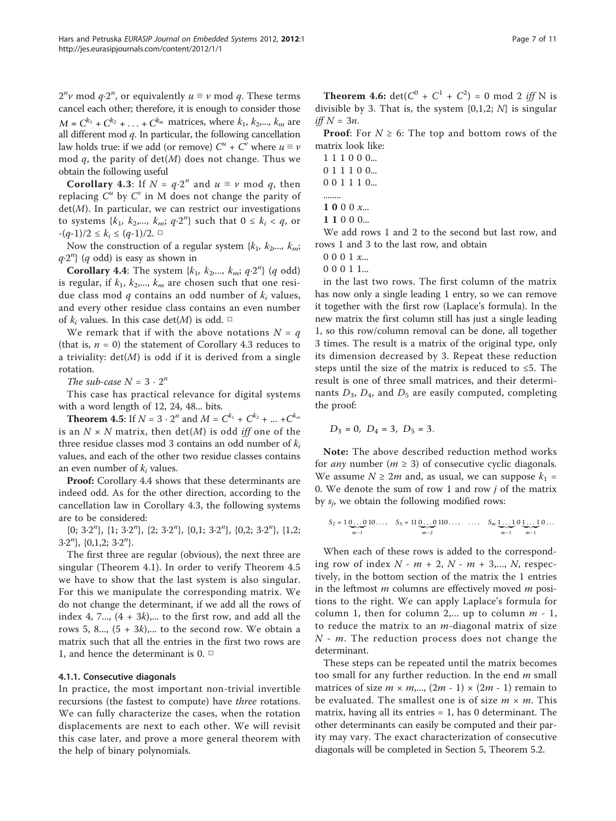$2^n v \mod q \cdot 2^n$ , or equivalently  $u \equiv v \mod q$ . These terms cancel each other; therefore, it is enough to consider those  $M = C^{k_1} + C^{k_2} + \ldots + C^{k_m}$  matrices, where  $k_1, k_2, ..., k_m$  are all different mod  $q$ . In particular, the following cancellation law holds true: if we add (or remove)  $C^u$  +  $C^v$  where  $u \equiv v$ mod  $q$ , the parity of  $det(M)$  does not change. Thus we obtain the following useful

**Corollary 4.3:** If  $N = q \cdot 2^n$  and  $u \equiv v \mod q$ , then replacing  $C^u$  by  $C^v$  in M does not change the parity of  $det(M)$ . In particular, we can restrict our investigations to systems  $\{k_1, k_2,..., k_m; q \cdot 2^n\}$  such that  $0 \le k_i < q$ , or  $-(q-1)/2 \leq k_i \leq (q-1)/2.$ 

Now the construction of a regular system  $\{k_1, k_2, ..., k_m\}$  $q·2<sup>n</sup>$  (q odd) is easy as shown in

**Corollary 4.4:** The system { $k_1$ ,  $k_2$ ,...,  $k_m$ ;  $q \cdot 2^n$ } (q odd) is regular, if  $k_1$ ,  $k_2$ ,...,  $k_m$  are chosen such that one residue class mod  $q$  contains an odd number of  $k_i$  values, and every other residue class contains an even number of  $k_i$  values. In this case det(M) is odd.  $\Box$ 

We remark that if with the above notations  $N=q$ (that is,  $n = 0$ ) the statement of Corollary 4.3 reduces to a triviality:  $det(M)$  is odd if it is derived from a single rotation.

The sub-case  $N = 3 \cdot 2^n$ 

This case has practical relevance for digital systems with a word length of 12, 24, 48... bits.

**Theorem 4.5:** If  $N = 3 \cdot 2^n$  and  $M = C^{k_1} + C^{k_2} + \dots + C^{k_m}$ is an  $N \times N$  matrix, then  $\det(M)$  is odd *iff* one of the three residue classes mod 3 contains an odd number of  $k_i$ values, and each of the other two residue classes contains an even number of  $k_i$  values.

Proof: Corollary 4.4 shows that these determinants are indeed odd. As for the other direction, according to the cancellation law in Corollary 4.3, the following systems are to be considered:

 $\{0; 3\cdot2^n\}, \{1; 3\cdot2^n\}, \{2; 3\cdot2^n\}, \{0,1; 3\cdot2^n\}, \{0,2; 3\cdot2^n\}, \{1,2;$  $3·2<sup>n</sup>$ , {0,1,2;  $3·2<sup>n</sup>$ }.

The first three are regular (obvious), the next three are singular (Theorem 4.1). In order to verify Theorem 4.5 we have to show that the last system is also singular. For this we manipulate the corresponding matrix. We do not change the determinant, if we add all the rows of index 4, 7...,  $(4 + 3k)$ ,... to the first row, and add all the rows 5, 8...,  $(5 + 3k)$ ,... to the second row. We obtain a matrix such that all the entries in the first two rows are 1, and hence the determinant is 0.  $\Box$ 

#### 4.1.1. Consecutive diagonals

In practice, the most important non-trivial invertible recursions (the fastest to compute) have three rotations. We can fully characterize the cases, when the rotation displacements are next to each other. We will revisit this case later, and prove a more general theorem with the help of binary polynomials.

**Theorem 4.6:**  $det(C^0 + C^1 + C^2) = 0 \text{ mod } 2$  *iff* N is divisible by 3. That is, the system  $\{0,1,2; N\}$  is singular  $iff N = 3n$ .

**Proof:** For  $N \ge 6$ : The top and bottom rows of the matrix look like:

- 1 1 1 0 0 0...
- 0 1 1 1 0 0...
- 0 0 1 1 1 0...

........

- $1000x...$
- 1 1 0 0 0...

We add rows 1 and 2 to the second but last row, and rows 1 and 3 to the last row, and obtain

 $0001 x...$ 

0 0 0 1 1...

in the last two rows. The first column of the matrix has now only a single leading 1 entry, so we can remove it together with the first row (Laplace's formula). In the new matrix the first column still has just a single leading 1, so this row/column removal can be done, all together 3 times. The result is a matrix of the original type, only its dimension decreased by 3. Repeat these reduction steps until the size of the matrix is reduced to ≤5. The result is one of three small matrices, and their determinants  $D_3$ ,  $D_4$ , and  $D_5$  are easily computed, completing the proof:

$$
D_3 = 0, \ D_4 = 3, \ D_5 = 3.
$$

Note: The above described reduction method works for *any* number ( $m \geq 3$ ) of consecutive cyclic diagonals. We assume  $N \ge 2m$  and, as usual, we can suppose  $k_1 =$ 0. We denote the sum of row 1 and row  $j$  of the matrix by  $s_i$ , we obtain the following modified rows:

$$
S_2=1\underbrace{0\ldots 0}_{m-1}10\ldots, \quad S_3=11\underbrace{0\ldots 0}_{m-2}110\ldots, \quad \ldots, \quad S_m\underbrace{1\ldots 1}_{m-1}0\underbrace{1\ldots 1}_{m-1}0\ldots
$$

When each of these rows is added to the corresponding row of index  $N - m + 2$ ,  $N - m + 3$ ,...,  $N$ , respectively, in the bottom section of the matrix the 1 entries in the leftmost  $m$  columns are effectively moved  $m$  positions to the right. We can apply Laplace's formula for column 1, then for column 2,... up to column  $m - 1$ , to reduce the matrix to an  $m$ -diagonal matrix of size  $N - m$ . The reduction process does not change the determinant.

These steps can be repeated until the matrix becomes too small for any further reduction. In the end  $m$  small matrices of size  $m \times m$ ,...,  $(2m - 1) \times (2m - 1)$  remain to be evaluated. The smallest one is of size  $m \times m$ . This matrix, having all its entries = 1, has 0 determinant. The other determinants can easily be computed and their parity may vary. The exact characterization of consecutive diagonals will be completed in Section 5, Theorem 5.2.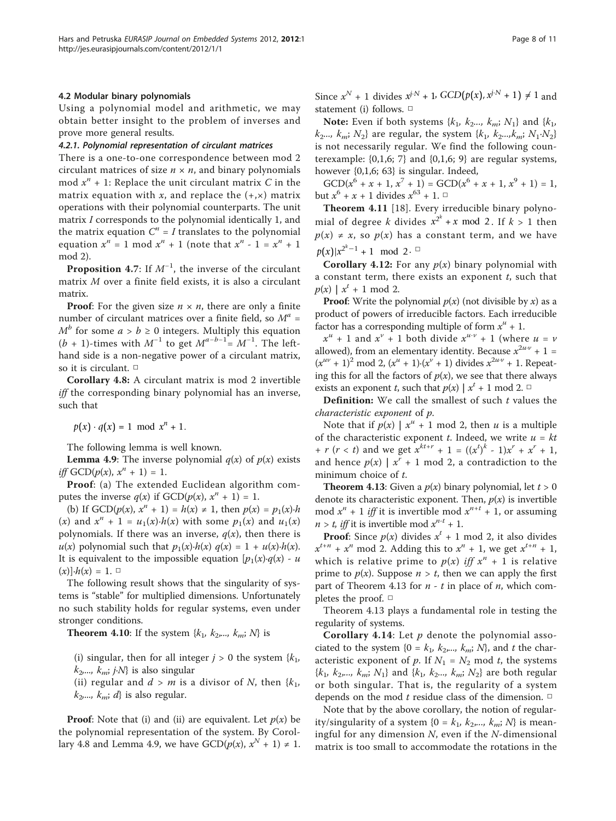#### 4.2 Modular binary polynomials

Using a polynomial model and arithmetic, we may obtain better insight to the problem of inverses and prove more general results.

#### 4.2.1. Polynomial representation of circulant matrices

There is a one-to-one correspondence between mod 2 circulant matrices of size  $n \times n$ , and binary polynomials mod  $x^n + 1$ : Replace the unit circulant matrix C in the matrix equation with x, and replace the  $(+, \times)$  matrix operations with their polynomial counterparts. The unit matrix I corresponds to the polynomial identically 1, and the matrix equation  $C^n = I$  translates to the polynomial equation  $x^n = 1$  mod  $x^n + 1$  (note that  $x^n - 1 = x^n + 1$ mod 2).

**Proposition** 4.7: If  $M^{-1}$ , the inverse of the circulant matrix M over a finite field exists, it is also a circulant matrix.

**Proof:** For the given size  $n \times n$ , there are only a finite number of circulant matrices over a finite field, so  $M^a$  =  $M^b$  for some  $a > b \ge 0$  integers. Multiply this equation  $(b + 1)$ -times with  $M^{-1}$  to get  $M^{a-b-1} = M^{-1}$ . The lefthand side is a non-negative power of a circulant matrix, so it is circulant. □

Corollary 4.8: A circulant matrix is mod 2 invertible iff the corresponding binary polynomial has an inverse, such that

 $p(x) \cdot q(x) = 1 \mod x^{n} + 1$ .

The following lemma is well known.

**Lemma 4.9:** The inverse polynomial  $q(x)$  of  $p(x)$  exists  $iff GCD(p(x), x^{n} + 1) = 1.$ 

Proof: (a) The extended Euclidean algorithm computes the inverse  $q(x)$  if  $GCD(p(x), x^n + 1) = 1$ .

(b) If  $GCD(p(x), x^n + 1) = h(x) \ne 1$ , then  $p(x) = p_1(x) \cdot h$ (x) and  $x^n + 1 = u_1(x) \cdot h(x)$  with some  $p_1(x)$  and  $u_1(x)$ polynomials. If there was an inverse,  $q(x)$ , then there is  $u(x)$  polynomial such that  $p_1(x) \cdot h(x)$   $q(x) = 1 + u(x) \cdot h(x)$ . It is equivalent to the impossible equation  $[p_1(x) \cdot q(x) - u]$  $(x)] \cdot h(x) = 1.$ 

The following result shows that the singularity of systems is "stable" for multiplied dimensions. Unfortunately no such stability holds for regular systems, even under stronger conditions.

**Theorem 4.10:** If the system  $\{k_1, k_2, \ldots, k_m; N\}$  is

(i) singular, then for all integer  $j > 0$  the system  $\{k_1, k_2, \ldots, k_n\}$  $k_2, \ldots, k_m; j \cdot N$  is also singular

(ii) regular and  $d > m$  is a divisor of N, then  $\{k_1, k_2, \ldots, k_n\}$  $k_2, \ldots, k_m; d$  is also regular.

**Proof:** Note that (i) and (ii) are equivalent. Let  $p(x)$  be the polynomial representation of the system. By Corollary 4.8 and Lemma 4.9, we have  $GCD(p(x), x^N + 1) \neq 1$ . Since  $x^N + 1$  divides  $x^{j \cdot N} + 1$ ,  $GCD(p(x), x^{j \cdot N} + 1) \neq 1$  and statement (i) follows. □

**Note:** Even if both systems  $\{k_1, k_2, \ldots, k_m; N_1\}$  and  $\{k_1, k_2, \ldots, k_m\}$  $k_2...$ ,  $k_m$ ;  $N_2$ } are regular, the system  $\{k_1, k_2... , k_m; N_1 \cdot N_2\}$ is not necessarily regular. We find the following counterexample:  $\{0,1,6; 7\}$  and  $\{0,1,6; 9\}$  are regular systems, however {0,1,6; 63} is singular. Indeed,

 $GCD(x^{6} + x + 1, x^{7} + 1) = GCD(x^{6} + x + 1, x^{9} + 1) = 1,$ but  $x^6 + x + 1$  divides  $x^{63} + 1$ .  $\Box$ 

Theorem 4.11 [[18](#page-10-0)]. Every irreducible binary polynomial of degree k divides  $x^{2^k} + x \mod 2$ . If  $k > 1$  then  $p(x) \neq x$ , so  $p(x)$  has a constant term, and we have *p*(*x*)| $x^{2^k-1}$  + 1 mod 2. □

**Corollary 4.12:** For any  $p(x)$  binary polynomial with a constant term, there exists an exponent  $t$ , such that  $p(x) | x^{t} + 1 \text{ mod } 2.$ 

**Proof:** Write the polynomial  $p(x)$  (not divisible by x) as a product of powers of irreducible factors. Each irreducible factor has a corresponding multiple of form  $x^u + 1$ .

 $x^u$  + 1 and  $x^v$  + 1 both divide  $x^{u \cdot v}$  + 1 (where  $u = v$ allowed), from an elementary identity. Because  $x^{2u \nu} + 1 =$  $(x^{uv} + 1)^2$  mod 2,  $(x^{u} + 1) \cdot (x^{v} + 1)$  divides  $x^{2uv} + 1$ . Repeating this for all the factors of  $p(x)$ , we see that there always exists an exponent t, such that  $p(x) | x^{t} + 1 \text{ mod } 2$ .

**Definition:** We call the smallest of such  $t$  values the characteristic exponent of p.

Note that if  $p(x) | x^u + 1 \text{ mod } 2$ , then u is a multiple of the characteristic exponent t. Indeed, we write  $u = kt$ + r (r < t) and we get  $x^{kt+r}$  + 1 =  $((x^t)^k - 1)x^r + x^r + 1$ , and hence  $p(x) | x^{r} + 1 \text{ mod } 2$ , a contradiction to the minimum choice of t.

**Theorem 4.13:** Given a  $p(x)$  binary polynomial, let  $t > 0$ denote its characteristic exponent. Then,  $p(x)$  is invertible mod  $x^n + 1$  *iff* it is invertible mod  $x^{n+t} + 1$ , or assuming  $n > t$ , *iff* it is invertible mod  $x^{n-t} + 1$ .

**Proof:** Since  $p(x)$  divides  $x^t + 1$  mod 2, it also divides  $x^{t+n}$  +  $x^n$  mod 2. Adding this to  $x^n$  + 1, we get  $x^{t+n}$  + 1, which is relative prime to  $p(x)$  iff  $x^n + 1$  is relative prime to  $p(x)$ . Suppose  $n > t$ , then we can apply the first part of Theorem 4.13 for  $n - t$  in place of n, which completes the proof. □

Theorem 4.13 plays a fundamental role in testing the regularity of systems.

**Corollary 4.14:** Let  $p$  denote the polynomial associated to the system {0 =  $k_1$ ,  $k_2$ ,...,  $k_m$ ; N}, and t the characteristic exponent of p. If  $N_1 = N_2 \text{ mod } t$ , the systems  $\{k_1, k_2,..., k_m; N_1\}$  and  $\{k_1, k_2,..., k_m; N_2\}$  are both regular or both singular. That is, the regularity of a system depends on the mod t residue class of the dimension.  $\Box$ 

Note that by the above corollary, the notion of regularity/singularity of a system {0 =  $k_1$ ,  $k_2$ ,...,  $k_m$ ; N} is meaningful for any dimension  $N$ , even if the  $N$ -dimensional matrix is too small to accommodate the rotations in the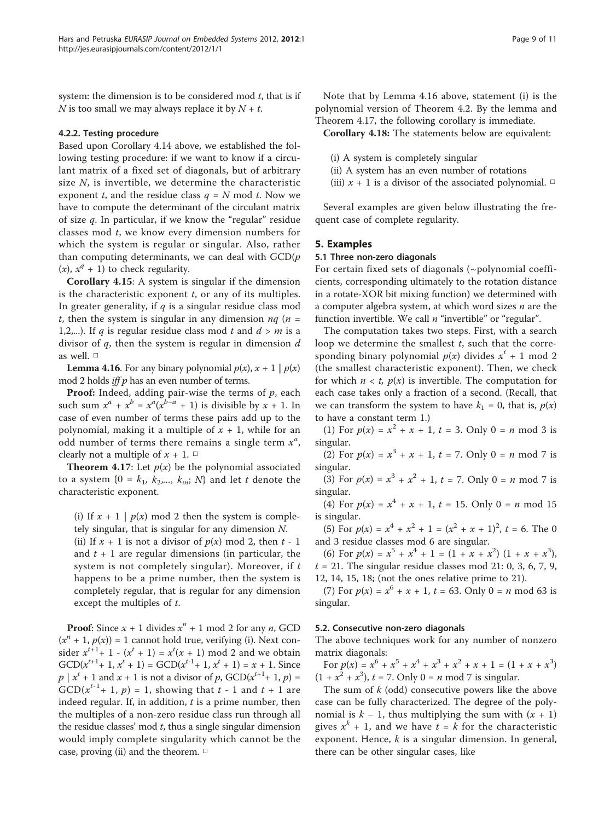system: the dimension is to be considered mod  $t$ , that is if N is too small we may always replace it by  $N + t$ .

#### 4.2.2. Testing procedure

Based upon Corollary 4.14 above, we established the following testing procedure: if we want to know if a circulant matrix of a fixed set of diagonals, but of arbitrary size  $N$ , is invertible, we determine the characteristic exponent t, and the residue class  $q = N \text{ mod } t$ . Now we have to compute the determinant of the circulant matrix of size  $q$ . In particular, if we know the "regular" residue classes mod t, we know every dimension numbers for which the system is regular or singular. Also, rather than computing determinants, we can deal with  $GCD(p)$  $(x)$ ,  $x^{q} + 1$ ) to check regularity.

Corollary 4.15: A system is singular if the dimension is the characteristic exponent  $t$ , or any of its multiples. In greater generality, if  $q$  is a singular residue class mod t, then the system is singular in any dimension  $nq$  ( $n =$ 1,2,...). If q is regular residue class mod t and  $d > m$  is a divisor of  $q$ , then the system is regular in dimension  $d$ as well. □

**Lemma 4.16.** For any binary polynomial  $p(x)$ ,  $x + 1 | p(x)$ mod 2 holds  $iff p$  has an even number of terms.

**Proof:** Indeed, adding pair-wise the terms of  $p$ , each such sum  $x^a + x^b = x^a(x^{b-a} + 1)$  is divisible by  $x + 1$ . In case of even number of terms these pairs add up to the polynomial, making it a multiple of  $x + 1$ , while for an odd number of terms there remains a single term  $x^a$ , clearly not a multiple of  $x + 1$ .  $\Box$ 

**Theorem 4.17:** Let  $p(x)$  be the polynomial associated to a system  $\{0 = k_1, k_2,..., k_m; N\}$  and let t denote the characteristic exponent.

(i) If  $x + 1 \mid p(x) \mod 2$  then the system is completely singular, that is singular for any dimension N. (ii) If  $x + 1$  is not a divisor of  $p(x)$  mod 2, then  $t - 1$ and  $t + 1$  are regular dimensions (in particular, the system is not completely singular). Moreover, if  $t$ happens to be a prime number, then the system is completely regular, that is regular for any dimension except the multiples of  $t$ .

**Proof:** Since  $x + 1$  divides  $x^n + 1$  mod 2 for any *n*, GCD  $(x<sup>n</sup> + 1, p(x)) = 1$  cannot hold true, verifying (i). Next consider  $x^{t+1} + 1 - (x^t + 1) = x^t(x + 1) \text{ mod } 2$  and we obtain  $GCD(x^{t+1}+1, x^t + 1) = GCD(x^{t+1}+1, x^t + 1) = x + 1$ . Since  $p \mid x^t + 1$  and  $x + 1$  is not a divisor of p,  $GCD(x^{t+1} + 1, p) =$  $GCD(x^{t-1} + 1, p) = 1$ , showing that  $t - 1$  and  $t + 1$  are indeed regular. If, in addition,  $t$  is a prime number, then the multiples of a non-zero residue class run through all the residue classes' mod  $t$ , thus a single singular dimension would imply complete singularity which cannot be the case, proving (ii) and the theorem.  $\Box$ 

Note that by Lemma 4.16 above, statement (i) is the polynomial version of Theorem 4.2. By the lemma and Theorem 4.17, the following corollary is immediate.

Corollary 4.18: The statements below are equivalent:

- (i) A system is completely singular
- (ii) A system has an even number of rotations
- (iii)  $x + 1$  is a divisor of the associated polynomial.  $\Box$

Several examples are given below illustrating the frequent case of complete regularity.

#### 5. Examples

#### 5.1 Three non-zero diagonals

For certain fixed sets of diagonals  $(\sim$ polynomial coefficients, corresponding ultimately to the rotation distance in a rotate-XOR bit mixing function) we determined with a computer algebra system, at which word sizes  $n$  are the function invertible. We call  $n$  "invertible" or "regular".

The computation takes two steps. First, with a search loop we determine the smallest  $t$ , such that the corresponding binary polynomial  $p(x)$  divides  $x^{t} + 1$  mod 2 (the smallest characteristic exponent). Then, we check for which  $n < t$ ,  $p(x)$  is invertible. The computation for each case takes only a fraction of a second. (Recall, that we can transform the system to have  $k_1 = 0$ , that is,  $p(x)$ to have a constant term 1.)

(1) For  $p(x) = x^2 + x + 1$ ,  $t = 3$ . Only  $0 = n \text{ mod } 3$  is singular.

(2) For  $p(x) = x^3 + x + 1$ ,  $t = 7$ . Only  $0 = n \mod 7$  is singular.

(3) For  $p(x) = x^3 + x^2 + 1$ ,  $t = 7$ . Only  $0 = n \text{ mod } 7$  is singular.

(4) For  $p(x) = x^4 + x + 1$ ,  $t = 15$ . Only  $0 = n \text{ mod } 15$ is singular.

(5) For  $p(x) = x^4 + x^2 + 1 = (x^2 + x + 1)^2$ ,  $t = 6$ . The 0 and 3 residue classes mod 6 are singular.

(6) For  $p(x) = x^5 + x^4 + 1 = (1 + x + x^2) (1 + x + x^3)$ ,  $t = 21$ . The singular residue classes mod 21: 0, 3, 6, 7, 9, 12, 14, 15, 18; (not the ones relative prime to 21).

(7) For  $p(x) = x^6 + x + 1$ ,  $t = 63$ . Only  $0 = n \text{ mod } 63$  is singular.

#### 5.2. Consecutive non-zero diagonals

The above techniques work for any number of nonzero matrix diagonals:

For  $p(x) = x^6 + x^5 + x^4 + x^3 + x^2 + x + 1 = (1 + x + x^3)$  $(1 + x^2 + x^3)$ ,  $t = 7$ . Only  $0 = n$  mod 7 is singular.

The sum of  $k$  (odd) consecutive powers like the above case can be fully characterized. The degree of the polynomial is  $k - 1$ , thus multiplying the sum with  $(x + 1)$ gives  $x^{k} + 1$ , and we have  $t = k$  for the characteristic exponent. Hence,  $k$  is a singular dimension. In general, there can be other singular cases, like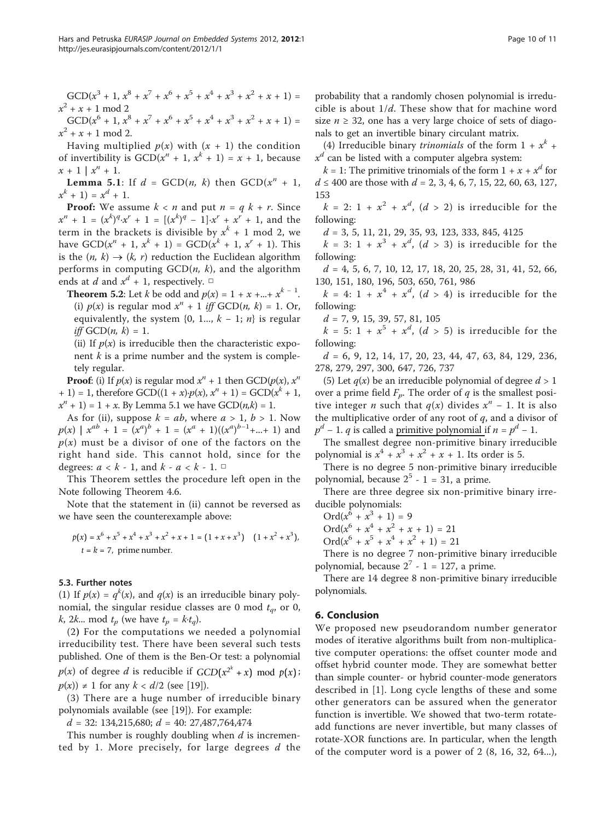GCD $(x^3 + 1, x^8 + x^7 + x^6 + x^5 + x^4 + x^3 + x^2 + x + 1) =$  $x^2 + x + 1 \mod 2$ GCD( $x^6 + 1$ ,  $x^8 + x^7 + x^6 + x^5 + x^4 + x^3 + x^2 + x + 1$ ) =

 $x^{2} + x + 1$  mod 2.

Having multiplied  $p(x)$  with  $(x + 1)$  the condition of invertibility is  $GCD(x^n + 1, x^k + 1) = x + 1$ , because  $x + 1 | x^n + 1.$ 

**Lemma 5.1:** If  $d = GCD(n, k)$  then  $GCD(x^n + 1,$  $x^{k} + 1 = x^{d} + 1.$ 

**Proof:** We assume  $k < n$  and put  $n = qk + r$ . Since  $x^{n} + 1 = (x^{k})^{q} \cdot x^{r} + 1 = [(x^{k})^{q} - 1] \cdot x^{r} + x^{r} + 1$ , and the term in the brackets is divisible by  $x^{k} + 1$  mod 2, we have  $GCD(x^n + 1, x^k + 1) = GCD(x^k + 1, x^r + 1)$ . This is the  $(n, k) \rightarrow (k, r)$  reduction the Euclidean algorithm performs in computing  $GCD(n, k)$ , and the algorithm ends at d and  $x^d + 1$ , respectively.  $\Box$ 

**Theorem 5.2:** Let k be odd and  $p(x) = 1 + x + ... + x^{k - 1}$ . (i)  $p(x)$  is regular mod  $x^n + 1$  iff GCD(*n*, *k*) = 1. Or, equivalently, the system  $\{0, 1, ..., k - 1; n\}$  is regular  $iff GCD(n, k) = 1.$ 

(ii) If  $p(x)$  is irreducible then the characteristic exponent  $k$  is a prime number and the system is completely regular.

**Proof:** (i) If  $p(x)$  is regular mod  $x^n + 1$  then  $GCD(p(x), x^n)$  $+ 1$ ) = 1, therefore GCD((1 + x)· $p(x)$ ,  $x^n + 1$ ) = GCD( $x^k + 1$ ,  $x^n + 1$ ) = 1 + x. By Lemma 5.1 we have  $GCD(n, k) = 1$ .

As for (ii), suppose  $k = ab$ , where  $a > 1$ ,  $b > 1$ . Now  $p(x) | x^{ab} + 1 = (x^a)^b + 1 = (x^a + 1)((x^a)^{b-1} + ... + 1)$  and  $p(x)$  must be a divisor of one of the factors on the right hand side. This cannot hold, since for the degrees:  $a < k - 1$ , and  $k - a < k - 1$ .  $\Box$ 

This Theorem settles the procedure left open in the Note following Theorem 4.6.

Note that the statement in (ii) cannot be reversed as we have seen the counterexample above:

$$
p(x) = x^6 + x^5 + x^4 + x^3 + x^2 + x + 1 = (1 + x + x^3) \quad (1 + x^2 + x^3),
$$
  

$$
t = k = 7, \text{ prime number.}
$$

#### 5.3. Further notes

(1) If  $p(x) = q^k(x)$ , and  $q(x)$  is an irreducible binary polynomial, the singular residue classes are 0 mod  $t_a$ , or 0, k, 2k... mod  $t_p$  (we have  $t_p = k \cdot t_q$ ).

(2) For the computations we needed a polynomial irreducibility test. There have been several such tests published. One of them is the Ben-Or test: a polynomial  $p(x)$  of degree  $d$  is reducible if  $GCD(x^{2^k} + x) \mod p(x)$ ;  $p(x) \neq 1$  for any  $k < d/2$  (see [[19\]](#page-10-0)).

(3) There are a huge number of irreducible binary polynomials available (see [[19\]](#page-10-0)). For example:

 $d = 32: 134,215,680; d = 40: 27,487,764,474$ 

This number is roughly doubling when  $d$  is incremented by 1. More precisely, for large degrees  $d$  the

probability that a randomly chosen polynomial is irreducible is about  $1/d$ . These show that for machine word size  $n \geq 32$ , one has a very large choice of sets of diagonals to get an invertible binary circulant matrix.

(4) Irreducible binary *trinomials* of the form  $1 + x<sup>k</sup> + y<sup>k</sup>$  $x<sup>d</sup>$  can be listed with a computer algebra system:

 $k = 1$ : The primitive trinomials of the form  $1 + x + x<sup>d</sup>$  for  $d \leq 400$  are those with  $d = 2, 3, 4, 6, 7, 15, 22, 60, 63, 127,$ 153

 $k = 2$ : 1 +  $x^2$  +  $x^d$ ,  $(d > 2)$  is irreducible for the following:

 $d = 3, 5, 11, 21, 29, 35, 93, 123, 333, 845, 4125$ 

 $k = 3$ :  $1 + x^3 + x^d$ ,  $(d > 3)$  is irreducible for the following:

 $d = 4, 5, 6, 7, 10, 12, 17, 18, 20, 25, 28, 31, 41, 52, 66,$ 130, 151, 180, 196, 503, 650, 761, 986

 $k = 4$ : 1 +  $x^4$  +  $x^d$ ,  $(d > 4)$  is irreducible for the following:

 $d = 7, 9, 15, 39, 57, 81, 105$ 

 $k = 5$ : 1 +  $x^5 + x^d$ ,  $(d > 5)$  is irreducible for the following:

 $d = 6, 9, 12, 14, 17, 20, 23, 44, 47, 63, 84, 129, 236,$ 278, 279, 297, 300, 647, 726, 737

(5) Let  $q(x)$  be an irreducible polynomial of degree  $d > 1$ over a prime field  $F_p$ . The order of q is the smallest positive integer *n* such that  $q(x)$  divides  $x^n - 1$ . It is also the multiplicative order of any root of  $q$ , and a divisor of  $p^d$  – 1. q is called a primitive polynomial if  $n = p^d - 1$ .

The smallest degree non-primitive binary irreducible polynomial is  $x^4 + x^3 + x^2 + x + 1$ . Its order is 5.

There is no degree 5 non-primitive binary irreducible polynomial, because  $2^5 - 1 = 31$ , a prime.

There are three degree six non-primitive binary irreducible polynomials:

 $Ord(x^6 + x^3 + 1) = 9$ 

Ord( $x^6 + x^4 + x^2 + x + 1$ ) = 21

 $Ord(x^6 + x^5 + x^4 + x^2 + 1) = 21$ 

There is no degree 7 non-primitive binary irreducible polynomial, because  $2^7 - 1 = 127$ , a prime.

There are 14 degree 8 non-primitive binary irreducible polynomials.

#### 6. Conclusion

We proposed new pseudorandom number generator modes of iterative algorithms built from non-multiplicative computer operations: the offset counter mode and offset hybrid counter mode. They are somewhat better than simple counter- or hybrid counter-mode generators described in [\[1](#page-10-0)]. Long cycle lengths of these and some other generators can be assured when the generator function is invertible. We showed that two-term rotateadd functions are never invertible, but many classes of rotate-XOR functions are. In particular, when the length of the computer word is a power of 2 (8, 16, 32, 64...),